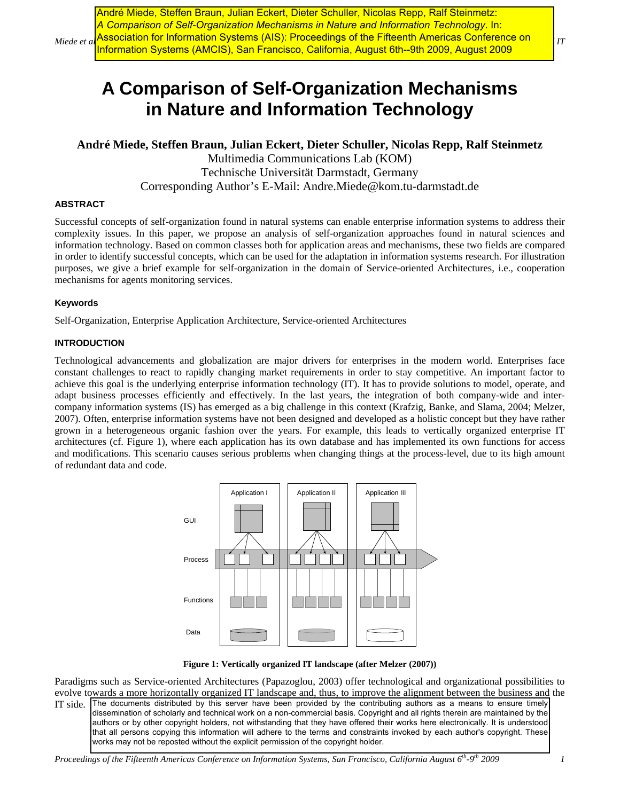$Miede$  et al Association for Information Systems (AIS): Proceedings of the Fifteenth Americas Conference on  $I_{IT}$ André Miede, Steffen Braun, Julian Eckert, Dieter Schuller, Nicolas Repp, Ralf Steinmetz: *A Comparison of Self-Organization Mechanisms in Nature and Information Technology*. In: Information Systems (AMCIS), San Francisco, California, August 6th--9th 2009, August 2009

# **A Comparison of Self-Organization Mechanisms in Nature and Information Technology**

**André Miede, Steffen Braun, Julian Eckert, Dieter Schuller, Nicolas Repp, Ralf Steinmetz** 

Multimedia Communications Lab (KOM) Technische Universität Darmstadt, Germany Corresponding Author's E-Mail: Andre.Miede@kom.tu-darmstadt.de

## **ABSTRACT**

Successful concepts of self-organization found in natural systems can enable enterprise information systems to address their complexity issues. In this paper, we propose an analysis of self-organization approaches found in natural sciences and information technology. Based on common classes both for application areas and mechanisms, these two fields are compared in order to identify successful concepts, which can be used for the adaptation in information systems research. For illustration purposes, we give a brief example for self-organization in the domain of Service-oriented Architectures, i.e., cooperation mechanisms for agents monitoring services.

### **Keywords**

Self-Organization, Enterprise Application Architecture, Service-oriented Architectures

## **INTRODUCTION**

Technological advancements and globalization are major drivers for enterprises in the modern world. Enterprises face constant challenges to react to rapidly changing market requirements in order to stay competitive. An important factor to achieve this goal is the underlying enterprise information technology (IT). It has to provide solutions to model, operate, and adapt business processes efficiently and effectively. In the last years, the integration of both company-wide and intercompany information systems (IS) has emerged as a big challenge in this context (Krafzig, Banke, and Slama, 2004; Melzer, 2007). Often, enterprise information systems have not been designed and developed as a holistic concept but they have rather grown in a heterogeneous organic fashion over the years. For example, this leads to vertically organized enterprise IT architectures (cf. [Figure 1\)](#page-0-0), where each application has its own database and has implemented its own functions for access and modifications. This scenario causes serious problems when changing things at the process-level, due to its high amount of redundant data and code.



**Figure 1: Vertically organized IT landscape (after Melzer (2007))** 

<span id="page-0-0"></span>Paradigms such as Service-oriented Architectures (Papazoglou, 2003) offer technological and organizational possibilities to evolve towards a more horizontally organized IT landscape and, thus, to improve the alignment between the business and the IT side. The documents distributed by this server have been provided by the contributing authors as a means to ensure timely dissemination of scholarly and technical work on a non-commercial basis. Copyright and all rights therein are maintained by the authors or by other copyright holders, not withstanding that they have offered their works here electronically. It is understood that all persons copying this information will adhere to the terms and constraints invoked by each author's copyright. These works may not be reposted without the explicit permission of the copyright holder.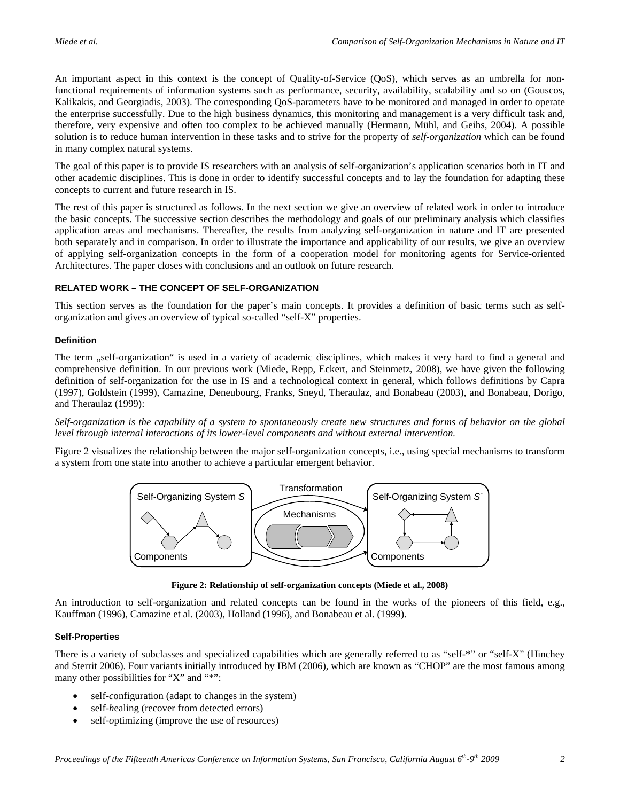An important aspect in this context is the concept of Quality-of-Service (QoS), which serves as an umbrella for nonfunctional requirements of information systems such as performance, security, availability, scalability and so on (Gouscos, Kalikakis, and Georgiadis, 2003). The corresponding QoS-parameters have to be monitored and managed in order to operate the enterprise successfully. Due to the high business dynamics, this monitoring and management is a very difficult task and, therefore, very expensive and often too complex to be achieved manually (Hermann, Mühl, and Geihs, 2004). A possible solution is to reduce human intervention in these tasks and to strive for the property of *self-organization* which can be found in many complex natural systems.

The goal of this paper is to provide IS researchers with an analysis of self-organization's application scenarios both in IT and other academic disciplines. This is done in order to identify successful concepts and to lay the foundation for adapting these concepts to current and future research in IS.

The rest of this paper is structured as follows. In the next section we give an overview of related work in order to introduce the basic concepts. The successive section describes the methodology and goals of our preliminary analysis which classifies application areas and mechanisms. Thereafter, the results from analyzing self-organization in nature and IT are presented both separately and in comparison. In order to illustrate the importance and applicability of our results, we give an overview of applying self-organization concepts in the form of a cooperation model for monitoring agents for Service-oriented Architectures. The paper closes with conclusions and an outlook on future research.

## **RELATED WORK – THE CONCEPT OF SELF-ORGANIZATION**

This section serves as the foundation for the paper's main concepts. It provides a definition of basic terms such as selforganization and gives an overview of typical so-called "self-X" properties.

# **Definition**

The term ..self-organization" is used in a variety of academic disciplines, which makes it very hard to find a general and comprehensive definition. In our previous work (Miede, Repp, Eckert, and Steinmetz, 2008), we have given the following definition of self-organization for the use in IS and a technological context in general, which follows definitions by Capra (1997), Goldstein (1999), Camazine, Deneubourg, Franks, Sneyd, Theraulaz, and Bonabeau (2003), and Bonabeau, Dorigo, and Theraulaz (1999):

*Self-organization is the capability of a system to spontaneously create new structures and forms of behavior on the global level through internal interactions of its lower-level components and without external intervention.* 

[Figure 2](#page-1-0) visualizes the relationship between the major self-organization concepts, i.e., using special mechanisms to transform a system from one state into another to achieve a particular emergent behavior.



**Figure 2: Relationship of self-organization concepts (Miede et al., 2008)** 

<span id="page-1-0"></span>An introduction to self-organization and related concepts can be found in the works of the pioneers of this field, e.g., Kauffman (1996), Camazine et al. (2003), Holland (1996), and Bonabeau et al. (1999).

## **Self-Properties**

There is a variety of subclasses and specialized capabilities which are generally referred to as "self-\*" or "self-X" (Hinchey and Sterrit 2006). Four variants initially introduced by IBM (2006), which are known as "CHOP" are the most famous among many other possibilities for "X" and "\*":

- self-*configuration* (adapt to changes in the system)
- self-*h*ealing (recover from detected errors)
- self-*optimizing* (improve the use of resources)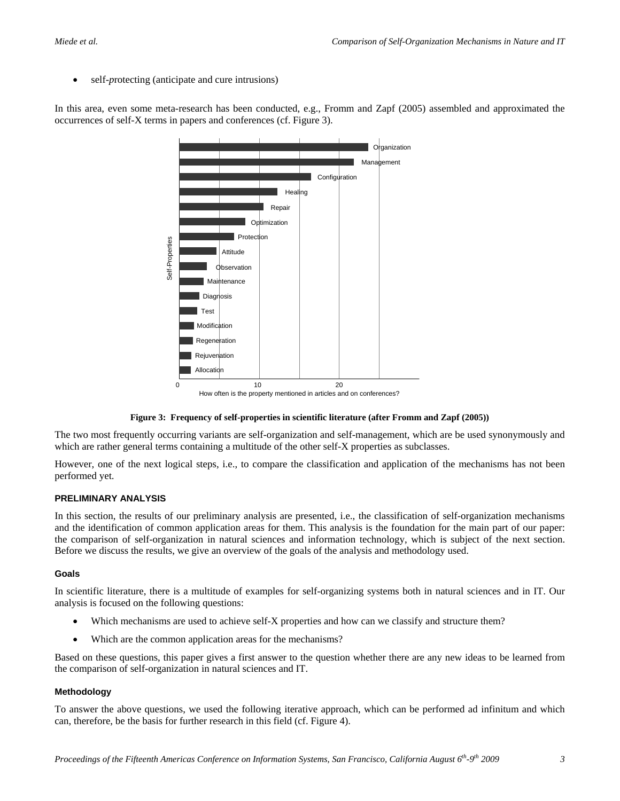self-*protecting* (anticipate and cure intrusions)

In this area, even some meta-research has been conducted, e.g., Fromm and Zapf (2005) assembled and approximated the occurrences of self-X terms in papers and conferences (cf. [Figure 3](#page-2-0)).



How often is the property mentioned in articles and on conferences?

## **Figure 3: Frequency of self-properties in scientific literature (after Fromm and Zapf (2005))**

<span id="page-2-0"></span>The two most frequently occurring variants are self-organization and self-management, which are be used synonymously and which are rather general terms containing a multitude of the other self-X properties as subclasses.

However, one of the next logical steps, i.e., to compare the classification and application of the mechanisms has not been performed yet.

## **PRELIMINARY ANALYSIS**

In this section, the results of our preliminary analysis are presented, i.e., the classification of self-organization mechanisms and the identification of common application areas for them. This analysis is the foundation for the main part of our paper: the comparison of self-organization in natural sciences and information technology, which is subject of the next section. Before we discuss the results, we give an overview of the goals of the analysis and methodology used.

## **Goals**

In scientific literature, there is a multitude of examples for self-organizing systems both in natural sciences and in IT. Our analysis is focused on the following questions:

- Which mechanisms are used to achieve self-X properties and how can we classify and structure them?
- Which are the common application areas for the mechanisms?

Based on these questions, this paper gives a first answer to the question whether there are any new ideas to be learned from the comparison of self-organization in natural sciences and IT.

## **Methodology**

To answer the above questions, we used the following iterative approach, which can be performed ad infinitum and which can, therefore, be the basis for further research in this field (cf. [Figure 4\)](#page-3-0).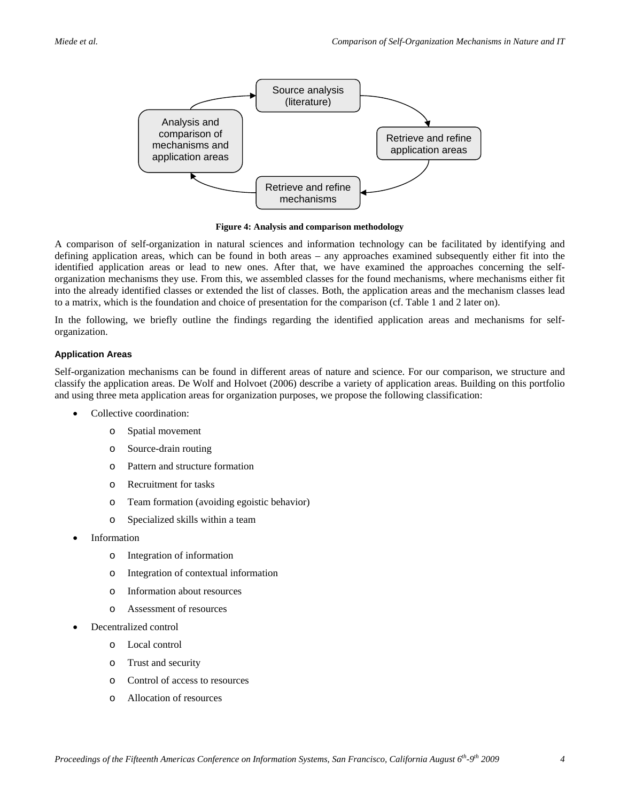

**Figure 4: Analysis and comparison methodology** 

<span id="page-3-0"></span>A comparison of self-organization in natural sciences and information technology can be facilitated by identifying and defining application areas, which can be found in both areas – any approaches examined subsequently either fit into the identified application areas or lead to new ones. After that, we have examined the approaches concerning the selforganization mechanisms they use. From this, we assembled classes for the found mechanisms, where mechanisms either fit into the already identified classes or extended the list of classes. Both, the application areas and the mechanism classes lead to a matrix, which is the foundation and choice of presentation for the comparison (cf. Table 1 and 2 later on).

In the following, we briefly outline the findings regarding the identified application areas and mechanisms for selforganization.

### **Application Areas**

Self-organization mechanisms can be found in different areas of nature and science. For our comparison, we structure and classify the application areas. De Wolf and Holvoet (2006) describe a variety of application areas. Building on this portfolio and using three meta application areas for organization purposes, we propose the following classification:

- Collective coordination:
	- o Spatial movement
	- o Source-drain routing
	- o Pattern and structure formation
	- o Recruitment for tasks
	- o Team formation (avoiding egoistic behavior)
	- o Specialized skills within a team
- **Information** 
	- o Integration of information
	- o Integration of contextual information
	- o Information about resources
	- o Assessment of resources
- Decentralized control
	- o Local control
	- o Trust and security
	- o Control of access to resources
	- o Allocation of resources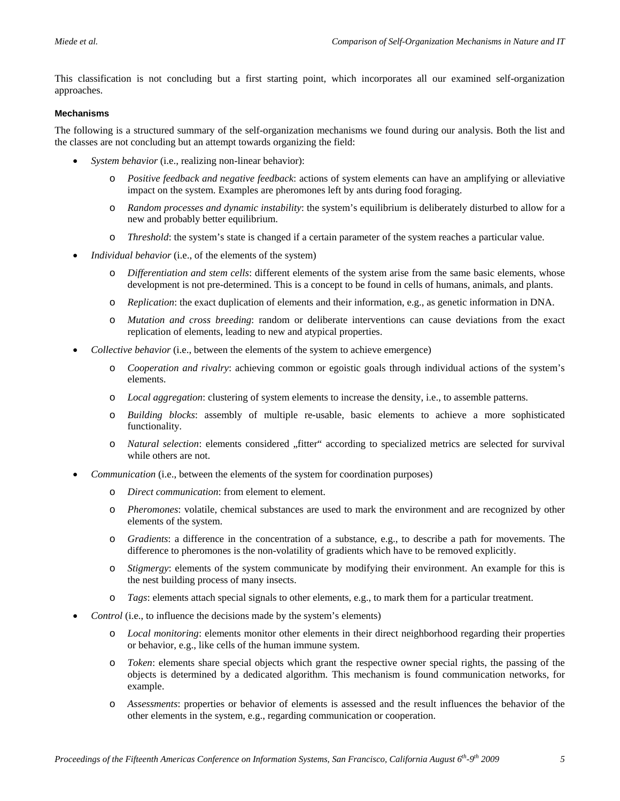This classification is not concluding but a first starting point, which incorporates all our examined self-organization approaches.

#### **Mechanisms**

The following is a structured summary of the self-organization mechanisms we found during our analysis. Both the list and the classes are not concluding but an attempt towards organizing the field:

- *System behavior* (i.e., realizing non-linear behavior):
	- o *Positive feedback and negative feedback*: actions of system elements can have an amplifying or alleviative impact on the system. Examples are pheromones left by ants during food foraging.
	- o *Random processes and dynamic instability*: the system's equilibrium is deliberately disturbed to allow for a new and probably better equilibrium.
	- o *Threshold*: the system's state is changed if a certain parameter of the system reaches a particular value.
- *Individual behavior* (i.e., of the elements of the system)
	- o *Differentiation and stem cells*: different elements of the system arise from the same basic elements, whose development is not pre-determined. This is a concept to be found in cells of humans, animals, and plants.
	- o *Replication*: the exact duplication of elements and their information, e.g., as genetic information in DNA.
	- o *Mutation and cross breeding*: random or deliberate interventions can cause deviations from the exact replication of elements, leading to new and atypical properties.
- *Collective behavior* (i.e., between the elements of the system to achieve emergence)
	- o *Cooperation and rivalry*: achieving common or egoistic goals through individual actions of the system's elements.
	- o *Local aggregation*: clustering of system elements to increase the density, i.e., to assemble patterns.
	- o *Building blocks*: assembly of multiple re-usable, basic elements to achieve a more sophisticated functionality.
	- o *Natural selection*: elements considered "fitter" according to specialized metrics are selected for survival while others are not.
- *Communication* (i.e., between the elements of the system for coordination purposes)
	- o *Direct communication*: from element to element.
	- o *Pheromones*: volatile, chemical substances are used to mark the environment and are recognized by other elements of the system.
	- o *Gradients*: a difference in the concentration of a substance, e.g., to describe a path for movements. The difference to pheromones is the non-volatility of gradients which have to be removed explicitly.
	- o *Stigmergy*: elements of the system communicate by modifying their environment. An example for this is the nest building process of many insects.
	- o *Tags*: elements attach special signals to other elements, e.g., to mark them for a particular treatment.
- *Control* (i.e., to influence the decisions made by the system's elements)
	- o *Local monitoring*: elements monitor other elements in their direct neighborhood regarding their properties or behavior, e.g., like cells of the human immune system.
	- o *Token*: elements share special objects which grant the respective owner special rights, the passing of the objects is determined by a dedicated algorithm. This mechanism is found communication networks, for example.
	- o *Assessments*: properties or behavior of elements is assessed and the result influences the behavior of the other elements in the system, e.g., regarding communication or cooperation.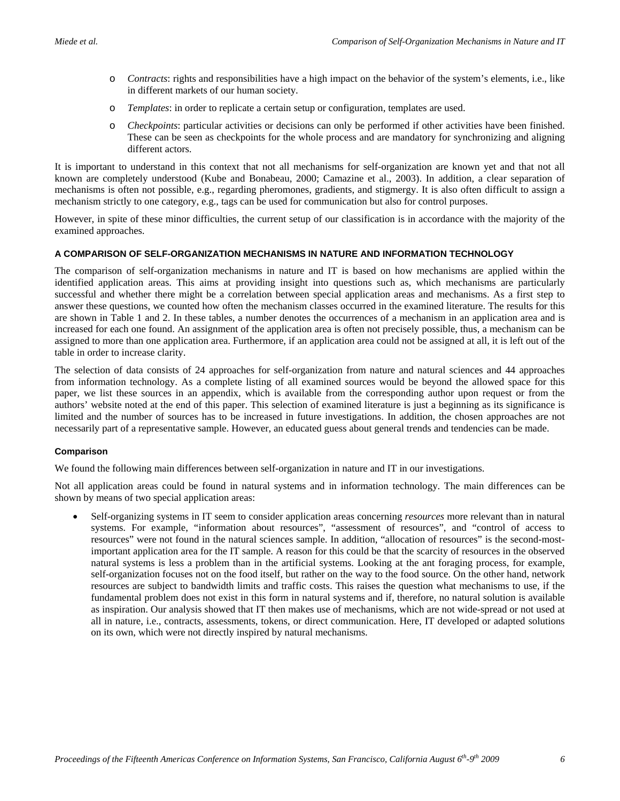- o *Contracts*: rights and responsibilities have a high impact on the behavior of the system's elements, i.e., like in different markets of our human society.
- o *Templates*: in order to replicate a certain setup or configuration, templates are used.
- o *Checkpoints*: particular activities or decisions can only be performed if other activities have been finished. These can be seen as checkpoints for the whole process and are mandatory for synchronizing and aligning different actors.

It is important to understand in this context that not all mechanisms for self-organization are known yet and that not all known are completely understood (Kube and Bonabeau, 2000; Camazine et al., 2003). In addition, a clear separation of mechanisms is often not possible, e.g., regarding pheromones, gradients, and stigmergy. It is also often difficult to assign a mechanism strictly to one category, e.g., tags can be used for communication but also for control purposes.

However, in spite of these minor difficulties, the current setup of our classification is in accordance with the majority of the examined approaches.

### **A COMPARISON OF SELF-ORGANIZATION MECHANISMS IN NATURE AND INFORMATION TECHNOLOGY**

The comparison of self-organization mechanisms in nature and IT is based on how mechanisms are applied within the identified application areas. This aims at providing insight into questions such as, which mechanisms are particularly successful and whether there might be a correlation between special application areas and mechanisms. As a first step to answer these questions, we counted how often the mechanism classes occurred in the examined literature. The results for this are shown in Table 1 and 2. In these tables, a number denotes the occurrences of a mechanism in an application area and is increased for each one found. An assignment of the application area is often not precisely possible, thus, a mechanism can be assigned to more than one application area. Furthermore, if an application area could not be assigned at all, it is left out of the table in order to increase clarity.

The selection of data consists of 24 approaches for self-organization from nature and natural sciences and 44 approaches from information technology. As a complete listing of all examined sources would be beyond the allowed space for this paper, we list these sources in an appendix, which is available from the corresponding author upon request or from the authors' website noted at the end of this paper. This selection of examined literature is just a beginning as its significance is limited and the number of sources has to be increased in future investigations. In addition, the chosen approaches are not necessarily part of a representative sample. However, an educated guess about general trends and tendencies can be made.

#### **Comparison**

We found the following main differences between self-organization in nature and IT in our investigations.

Not all application areas could be found in natural systems and in information technology. The main differences can be shown by means of two special application areas:

• Self-organizing systems in IT seem to consider application areas concerning *resources* more relevant than in natural systems. For example, "information about resources", "assessment of resources", and "control of access to resources" were not found in the natural sciences sample. In addition, "allocation of resources" is the second-mostimportant application area for the IT sample. A reason for this could be that the scarcity of resources in the observed natural systems is less a problem than in the artificial systems. Looking at the ant foraging process, for example, self-organization focuses not on the food itself, but rather on the way to the food source. On the other hand, network resources are subject to bandwidth limits and traffic costs. This raises the question what mechanisms to use, if the fundamental problem does not exist in this form in natural systems and if, therefore, no natural solution is available as inspiration. Our analysis showed that IT then makes use of mechanisms, which are not wide-spread or not used at all in nature, i.e., contracts, assessments, tokens, or direct communication. Here, IT developed or adapted solutions on its own, which were not directly inspired by natural mechanisms.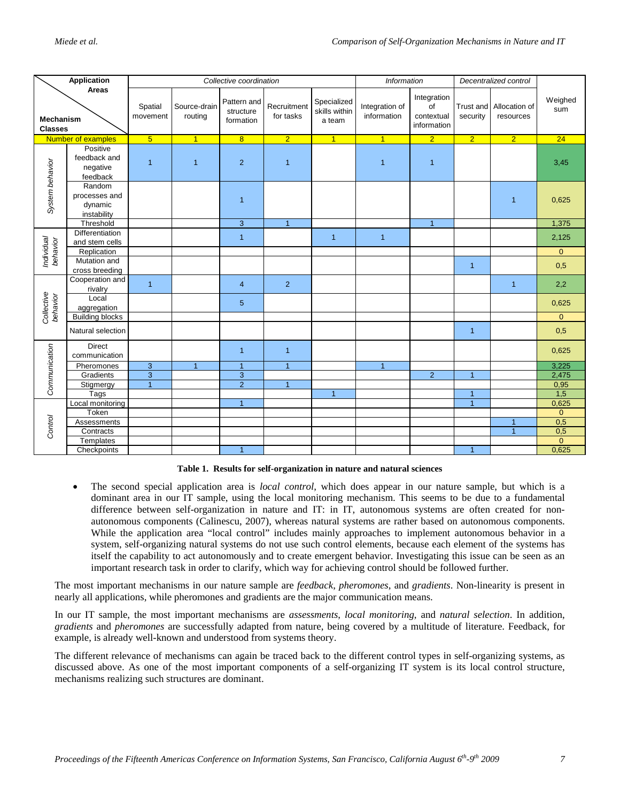|                                      | Application                                       |                     |                         | Collective coordination               |                          |                                        | <b>Information</b>            |                                                | Decentralized control |                                      |                |
|--------------------------------------|---------------------------------------------------|---------------------|-------------------------|---------------------------------------|--------------------------|----------------------------------------|-------------------------------|------------------------------------------------|-----------------------|--------------------------------------|----------------|
| Areas<br>Mechanism<br><b>Classes</b> |                                                   | Spatial<br>movement | Source-drain<br>routing | Pattern and<br>structure<br>formation | Recruitment<br>for tasks | Specialized<br>skills within<br>a team | Integration of<br>information | Integration<br>of<br>contextual<br>information | security              | Trust and Allocation of<br>resources | Weighed<br>sum |
| Number of examples                   |                                                   | 5 <sup>5</sup>      | $\overline{1}$          | 8                                     | $\overline{2}$           | $\overline{1}$                         | $\overline{1}$                | $\overline{2}$                                 | $\overline{2}$        | $\overline{2}$                       | 24             |
| System behavior                      | Positive<br>feedback and<br>negative<br>feedback  | $\overline{1}$      | $\overline{1}$          | $\overline{2}$                        | $\overline{1}$           |                                        | $\mathbf{1}$                  | $\mathbf{1}$                                   |                       |                                      | 3,45           |
|                                      | Random<br>processes and<br>dynamic<br>instability |                     |                         | $\overline{1}$                        |                          |                                        |                               |                                                |                       | $\mathbf{1}$                         | 0,625          |
|                                      | Threshold                                         |                     |                         | $\ensuremath{\mathsf{3}}$             | $\overline{1}$           |                                        |                               | $\mathbf{1}$                                   |                       |                                      | 1,375          |
| Individual<br>behavior               | Differentiation<br>and stem cells                 |                     |                         | $\mathbf{1}$                          |                          | $\overline{1}$                         | $\overline{1}$                |                                                |                       |                                      | 2,125          |
|                                      | Replication                                       |                     |                         |                                       |                          |                                        |                               |                                                |                       |                                      | $\mathbf{0}$   |
|                                      | Mutation and<br>cross breeding                    |                     |                         |                                       |                          |                                        |                               |                                                | $\overline{1}$        |                                      | 0,5            |
| Collective<br>behavior               | Cooperation and<br>rivalry                        | $\overline{1}$      |                         | $\overline{4}$                        | $\overline{2}$           |                                        |                               |                                                |                       | $\mathbf{1}$                         | 2,2            |
|                                      | Local<br>aggregation                              |                     |                         | $\overline{5}$                        |                          |                                        |                               |                                                |                       |                                      | 0,625          |
|                                      | <b>Building blocks</b>                            |                     |                         |                                       |                          |                                        |                               |                                                |                       |                                      | $\mathbf{0}$   |
|                                      | Natural selection                                 |                     |                         |                                       |                          |                                        |                               |                                                | $\overline{1}$        |                                      | 0,5            |
| Communication                        | <b>Direct</b><br>communication                    |                     |                         | $\overline{1}$                        | $\overline{1}$           |                                        |                               |                                                |                       |                                      | 0,625          |
|                                      | Pheromones                                        | $\mathbf{3}$        | $\mathbf{1}$            | $\overline{1}$                        | $\overline{1}$           |                                        | $\overline{1}$                |                                                |                       |                                      | 3,225          |
|                                      | Gradients                                         | 3                   |                         | $\mathbf{3}$                          |                          |                                        |                               | $\overline{2}$                                 | $\blacktriangleleft$  |                                      | 2,475          |
|                                      | Stigmergy                                         | $\mathbf{1}$        |                         | $\overline{2}$                        | $\overline{1}$           |                                        |                               |                                                |                       |                                      | 0,95           |
|                                      | Tags                                              |                     |                         |                                       |                          | $\overline{1}$                         |                               |                                                | $\overline{1}$        |                                      | 1,5            |
| Control                              | Local monitoring                                  |                     |                         | $\mathbf{1}$                          |                          |                                        |                               |                                                | $\overline{1}$        |                                      | 0,625          |
|                                      | Token                                             |                     |                         |                                       |                          |                                        |                               |                                                |                       |                                      | $\overline{0}$ |
|                                      | Assessments                                       |                     |                         |                                       |                          |                                        |                               |                                                |                       | $\overline{1}$                       | 0,5            |
|                                      | Contracts                                         |                     |                         |                                       |                          |                                        |                               |                                                |                       | $\mathbf{1}$                         | 0,5            |
|                                      | Templates                                         |                     |                         |                                       |                          |                                        |                               |                                                |                       |                                      | $\mathbf{0}$   |
|                                      | Checkpoints                                       |                     |                         | $\overline{1}$                        |                          |                                        |                               |                                                | $\blacktriangleleft$  |                                      | 0,625          |

**Table 1. Results for self-organization in nature and natural sciences** 

• The second special application area is *local control*, which does appear in our nature sample, but which is a dominant area in our IT sample, using the local monitoring mechanism. This seems to be due to a fundamental difference between self-organization in nature and IT: in IT, autonomous systems are often created for nonautonomous components (Calinescu, 2007), whereas natural systems are rather based on autonomous components. While the application area "local control" includes mainly approaches to implement autonomous behavior in a system, self-organizing natural systems do not use such control elements, because each element of the systems has itself the capability to act autonomously and to create emergent behavior. Investigating this issue can be seen as an important research task in order to clarify, which way for achieving control should be followed further.

The most important mechanisms in our nature sample are *feedback*, *pheromones*, and *gradients*. Non-linearity is present in nearly all applications, while pheromones and gradients are the major communication means.

In our IT sample, the most important mechanisms are *assessments*, *local monitoring*, and *natural selection*. In addition, *gradients* and *pheromones* are successfully adapted from nature, being covered by a multitude of literature. Feedback, for example, is already well-known and understood from systems theory.

The different relevance of mechanisms can again be traced back to the different control types in self-organizing systems, as discussed above. As one of the most important components of a self-organizing IT system is its local control structure, mechanisms realizing such structures are dominant.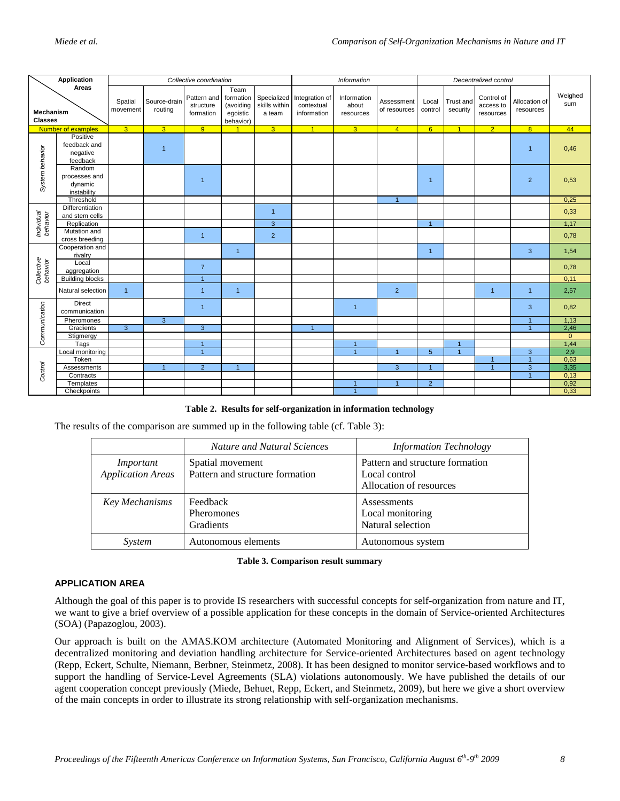| Application                          |                                                   | Collective coordination |                         |                                       |                                                         |                                        | Information<br>Decentralized control        |                                   |                            |                  |                       |                                      |                            |                |
|--------------------------------------|---------------------------------------------------|-------------------------|-------------------------|---------------------------------------|---------------------------------------------------------|----------------------------------------|---------------------------------------------|-----------------------------------|----------------------------|------------------|-----------------------|--------------------------------------|----------------------------|----------------|
| Areas<br>Mechanism<br><b>Classes</b> |                                                   | Spatial<br>movement     | Source-drain<br>routing | Pattern and<br>structure<br>formation | Team<br>formation<br>(avoiding<br>egoistic<br>behavior) | Specialized<br>skills within<br>a team | Integration of<br>contextual<br>information | Information<br>about<br>resources | Assessment<br>of resources | Local<br>control | Trust and<br>security | Control of<br>access to<br>resources | Allocation of<br>resources | Weighed<br>sum |
| Number of examples                   |                                                   | 3 <sup>1</sup>          | 3 <sup>°</sup>          | 9                                     |                                                         | 3 <sup>1</sup>                         | $\overline{1}$                              | $\overline{3}$                    | $\overline{4}$             | 6                | $\overline{1}$        | $\overline{2}$                       | 8 <sup>1</sup>             | 44             |
| System behavior                      | Positive<br>feedback and<br>negative<br>feedback  |                         | $\overline{1}$          |                                       |                                                         |                                        |                                             |                                   |                            |                  |                       |                                      | $\overline{1}$             | 0,46           |
|                                      | Random<br>processes and<br>dynamic<br>instability |                         |                         | $\overline{1}$                        |                                                         |                                        |                                             |                                   |                            | $\overline{1}$   |                       |                                      | $\overline{2}$             | 0,53           |
|                                      | Threshold                                         |                         |                         |                                       |                                                         |                                        |                                             |                                   | $\overline{1}$             |                  |                       |                                      |                            | 0,25           |
| Individual<br>behavior               | Differentiation<br>and stem cells                 |                         |                         |                                       |                                                         | $\overline{1}$                         |                                             |                                   |                            |                  |                       |                                      |                            | 0,33           |
|                                      | Replication                                       |                         |                         |                                       |                                                         | $\overline{3}$                         |                                             |                                   |                            | $\overline{1}$   |                       |                                      |                            | 1,17           |
|                                      | Mutation and<br>cross breeding                    |                         |                         | $\mathbf{1}$                          |                                                         | $\overline{2}$                         |                                             |                                   |                            |                  |                       |                                      |                            | 0,78           |
| Collective<br>behavior               | Cooperation and<br>rivalry                        |                         |                         |                                       | $\mathbf{1}$                                            |                                        |                                             |                                   |                            | $\overline{1}$   |                       |                                      | 3                          | 1,54           |
|                                      | Local<br>aggregation                              |                         |                         | $\overline{7}$                        |                                                         |                                        |                                             |                                   |                            |                  |                       |                                      |                            | 0,78           |
|                                      | <b>Building blocks</b>                            |                         |                         | $\mathbf{1}$                          |                                                         |                                        |                                             |                                   |                            |                  |                       |                                      |                            | 0,11           |
|                                      | Natural selection                                 | $\mathbf{1}$            |                         | $\mathbf{1}$                          | $\mathbf{1}$                                            |                                        |                                             |                                   | $\overline{2}$             |                  |                       | $\mathbf{1}$                         | $\mathbf{1}$               | 2,57           |
| Communication                        | Direct<br>communication                           |                         |                         | $\mathbf{1}$                          |                                                         |                                        |                                             | $\overline{1}$                    |                            |                  |                       |                                      | 3                          | 0,82           |
|                                      | Pheromones                                        |                         | $\overline{3}$          |                                       |                                                         |                                        |                                             |                                   |                            |                  |                       |                                      | $\overline{1}$             | 1,13           |
|                                      | Gradients                                         | $\overline{3}$          |                         | 3                                     |                                                         |                                        | $\overline{1}$                              |                                   |                            |                  |                       |                                      | $\overline{1}$             | 2,46           |
|                                      | Stigmergy                                         |                         |                         |                                       |                                                         |                                        |                                             |                                   |                            |                  |                       |                                      |                            | $\overline{0}$ |
|                                      | Tags                                              |                         |                         | $\overline{1}$                        |                                                         |                                        |                                             | $\overline{1}$                    |                            |                  | $\overline{1}$        |                                      |                            | 1,44           |
|                                      | Local monitoring                                  |                         |                         | $\overline{1}$                        |                                                         |                                        |                                             | $\overline{1}$                    | $\overline{1}$             | $\overline{5}$   | $\overline{1}$        |                                      | 3                          | 2,9            |
|                                      | Token                                             |                         |                         |                                       |                                                         |                                        |                                             |                                   |                            |                  |                       | $\mathbf{1}$                         | $\overline{1}$             | 0,63           |
|                                      | Assessments                                       |                         | $\overline{1}$          | $\overline{2}$                        | $\overline{1}$                                          |                                        |                                             |                                   | $\overline{3}$             | $\overline{1}$   |                       | $\overline{1}$                       | $\overline{3}$             | 3,35           |
| Control                              | Contracts                                         |                         |                         |                                       |                                                         |                                        |                                             |                                   |                            |                  |                       |                                      | $\overline{1}$             | 0,13           |
|                                      | Templates                                         |                         |                         |                                       |                                                         |                                        |                                             | $\overline{1}$                    |                            | $\overline{2}$   |                       |                                      |                            | 0,92           |
|                                      | Checkpoints                                       |                         |                         |                                       |                                                         |                                        |                                             | $\overline{1}$                    |                            |                  |                       |                                      |                            | 0,33           |

**Table 2. Results for self-organization in information technology** 

The results of the comparison are summed up in the following table (cf. Table 3):

|                                       | Nature and Natural Sciences                         | <b>Information Technology</b>                                               |
|---------------------------------------|-----------------------------------------------------|-----------------------------------------------------------------------------|
| Important<br><b>Application Areas</b> | Spatial movement<br>Pattern and structure formation | Pattern and structure formation<br>Local control<br>Allocation of resources |
| Key Mechanisms                        | Feedback<br><b>Pheromones</b><br>Gradients          | <b>Assessments</b><br>Local monitoring<br>Natural selection                 |
| System                                | Autonomous elements                                 | Autonomous system                                                           |

#### **Table 3. Comparison result summary**

## **APPLICATION AREA**

Although the goal of this paper is to provide IS researchers with successful concepts for self-organization from nature and IT, we want to give a brief overview of a possible application for these concepts in the domain of Service-oriented Architectures (SOA) (Papazoglou, 2003).

Our approach is built on the AMAS.KOM architecture (Automated Monitoring and Alignment of Services), which is a decentralized monitoring and deviation handling architecture for Service-oriented Architectures based on agent technology (Repp, Eckert, Schulte, Niemann, Berbner, Steinmetz, 2008). It has been designed to monitor service-based workflows and to support the handling of Service-Level Agreements (SLA) violations autonomously. We have published the details of our agent cooperation concept previously (Miede, Behuet, Repp, Eckert, and Steinmetz, 2009), but here we give a short overview of the main concepts in order to illustrate its strong relationship with self-organization mechanisms.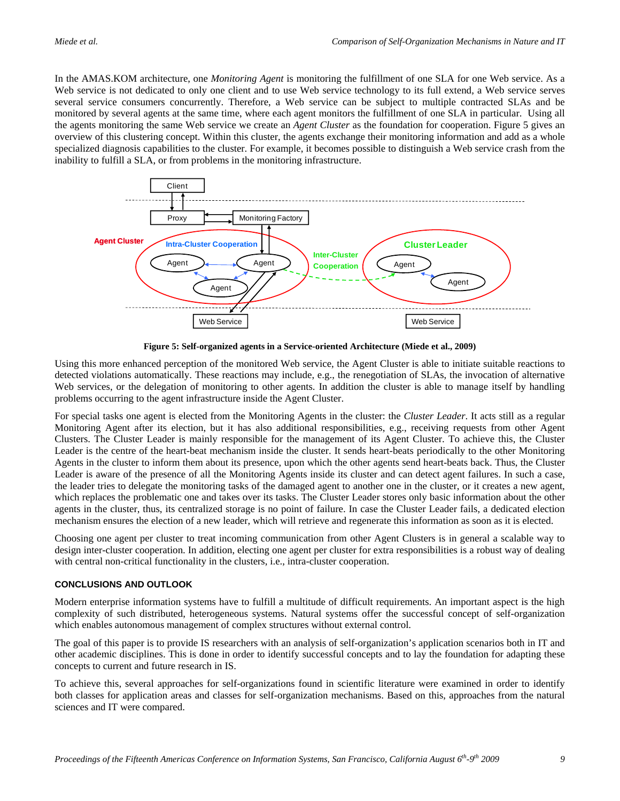In the AMAS.KOM architecture, one *Monitoring Agent* is monitoring the fulfillment of one SLA for one Web service. As a Web service is not dedicated to only one client and to use Web service technology to its full extend, a Web service serves several service consumers concurrently. Therefore, a Web service can be subject to multiple contracted SLAs and be monitored by several agents at the same time, where each agent monitors the fulfillment of one SLA in particular. Using all the agents monitoring the same Web service we create an *Agent Cluster* as the foundation for cooperation. [Figure 5](#page-8-0) gives an overview of this clustering concept. Within this cluster, the agents exchange their monitoring information and add as a whole specialized diagnosis capabilities to the cluster. For example, it becomes possible to distinguish a Web service crash from the inability to fulfill a SLA, or from problems in the monitoring infrastructure.



**Figure 5: Self-organized agents in a Service-oriented Architecture (Miede et al., 2009)** 

<span id="page-8-0"></span>Using this more enhanced perception of the monitored Web service, the Agent Cluster is able to initiate suitable reactions to detected violations automatically. These reactions may include, e.g., the renegotiation of SLAs, the invocation of alternative Web services, or the delegation of monitoring to other agents. In addition the cluster is able to manage itself by handling problems occurring to the agent infrastructure inside the Agent Cluster.

For special tasks one agent is elected from the Monitoring Agents in the cluster: the *Cluster Leader*. It acts still as a regular Monitoring Agent after its election, but it has also additional responsibilities, e.g., receiving requests from other Agent Clusters. The Cluster Leader is mainly responsible for the management of its Agent Cluster. To achieve this, the Cluster Leader is the centre of the heart-beat mechanism inside the cluster. It sends heart-beats periodically to the other Monitoring Agents in the cluster to inform them about its presence, upon which the other agents send heart-beats back. Thus, the Cluster Leader is aware of the presence of all the Monitoring Agents inside its cluster and can detect agent failures. In such a case, the leader tries to delegate the monitoring tasks of the damaged agent to another one in the cluster, or it creates a new agent, which replaces the problematic one and takes over its tasks. The Cluster Leader stores only basic information about the other agents in the cluster, thus, its centralized storage is no point of failure. In case the Cluster Leader fails, a dedicated election mechanism ensures the election of a new leader, which will retrieve and regenerate this information as soon as it is elected.

Choosing one agent per cluster to treat incoming communication from other Agent Clusters is in general a scalable way to design inter-cluster cooperation. In addition, electing one agent per cluster for extra responsibilities is a robust way of dealing with central non-critical functionality in the clusters, i.e., intra-cluster cooperation.

## **CONCLUSIONS AND OUTLOOK**

Modern enterprise information systems have to fulfill a multitude of difficult requirements. An important aspect is the high complexity of such distributed, heterogeneous systems. Natural systems offer the successful concept of self-organization which enables autonomous management of complex structures without external control.

The goal of this paper is to provide IS researchers with an analysis of self-organization's application scenarios both in IT and other academic disciplines. This is done in order to identify successful concepts and to lay the foundation for adapting these concepts to current and future research in IS.

To achieve this, several approaches for self-organizations found in scientific literature were examined in order to identify both classes for application areas and classes for self-organization mechanisms. Based on this, approaches from the natural sciences and IT were compared.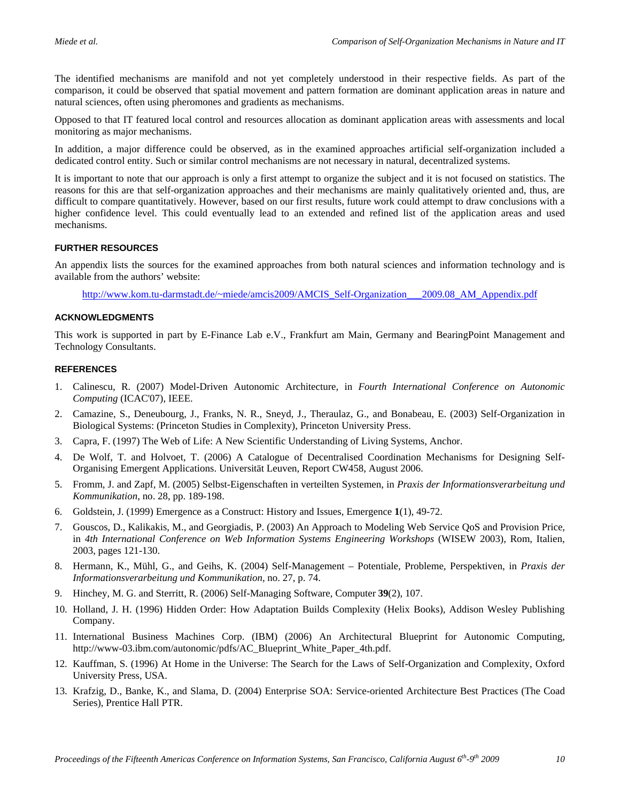The identified mechanisms are manifold and not yet completely understood in their respective fields. As part of the comparison, it could be observed that spatial movement and pattern formation are dominant application areas in nature and natural sciences, often using pheromones and gradients as mechanisms.

Opposed to that IT featured local control and resources allocation as dominant application areas with assessments and local monitoring as major mechanisms.

In addition, a major difference could be observed, as in the examined approaches artificial self-organization included a dedicated control entity. Such or similar control mechanisms are not necessary in natural, decentralized systems.

It is important to note that our approach is only a first attempt to organize the subject and it is not focused on statistics. The reasons for this are that self-organization approaches and their mechanisms are mainly qualitatively oriented and, thus, are difficult to compare quantitatively. However, based on our first results, future work could attempt to draw conclusions with a higher confidence level. This could eventually lead to an extended and refined list of the application areas and used mechanisms.

## **FURTHER RESOURCES**

An appendix lists the sources for the examined approaches from both natural sciences and information technology and is available from the authors' website:

http://www.kom.tu-darmstadt.de/~miede/amcis2009/AMCIS\_Self-Organization\_\_\_2009.08\_AM\_Appendix.pdf

## **ACKNOWLEDGMENTS**

This work is supported in part by E-Finance Lab e.V., Frankfurt am Main, Germany and BearingPoint Management and Technology Consultants.

### **REFERENCES**

- 1. Calinescu, R. (2007) Model-Driven Autonomic Architecture, in *Fourth International Conference on Autonomic Computing* (ICAC'07), IEEE.
- 2. Camazine, S., Deneubourg, J., Franks, N. R., Sneyd, J., Theraulaz, G., and Bonabeau, E. (2003) Self-Organization in Biological Systems: (Princeton Studies in Complexity), Princeton University Press.
- 3. Capra, F. (1997) The Web of Life: A New Scientific Understanding of Living Systems, Anchor.
- 4. De Wolf, T. and Holvoet, T. (2006) A Catalogue of Decentralised Coordination Mechanisms for Designing Self-Organising Emergent Applications. Universität Leuven, Report CW458, August 2006.
- 5. Fromm, J. and Zapf, M. (2005) Selbst-Eigenschaften in verteilten Systemen, in *Praxis der Informationsverarbeitung und Kommunikation*, no. 28, pp. 189-198.
- 6. Goldstein, J. (1999) Emergence as a Construct: History and Issues, Emergence **1**(1), 49-72.
- 7. Gouscos, D., Kalikakis, M., and Georgiadis, P. (2003) An Approach to Modeling Web Service QoS and Provision Price, in *4th International Conference on Web Information Systems Engineering Workshops* (WISEW 2003), Rom, Italien, 2003, pages 121-130.
- 8. Hermann, K., Mühl, G., and Geihs, K. (2004) Self-Management Potentiale, Probleme, Perspektiven, in *Praxis der Informationsverarbeitung und Kommunikation*, no. 27, p. 74.
- 9. Hinchey, M. G. and Sterritt, R. (2006) Self-Managing Software, Computer **39**(2), 107.
- 10. Holland, J. H. (1996) Hidden Order: How Adaptation Builds Complexity (Helix Books), Addison Wesley Publishing Company.
- 11. International Business Machines Corp. (IBM) (2006) An Architectural Blueprint for Autonomic Computing, http://www-03.ibm.com/autonomic/pdfs/AC\_Blueprint\_White\_Paper\_4th.pdf.
- 12. Kauffman, S. (1996) At Home in the Universe: The Search for the Laws of Self-Organization and Complexity, Oxford University Press, USA.
- 13. Krafzig, D., Banke, K., and Slama, D. (2004) Enterprise SOA: Service-oriented Architecture Best Practices (The Coad Series), Prentice Hall PTR.